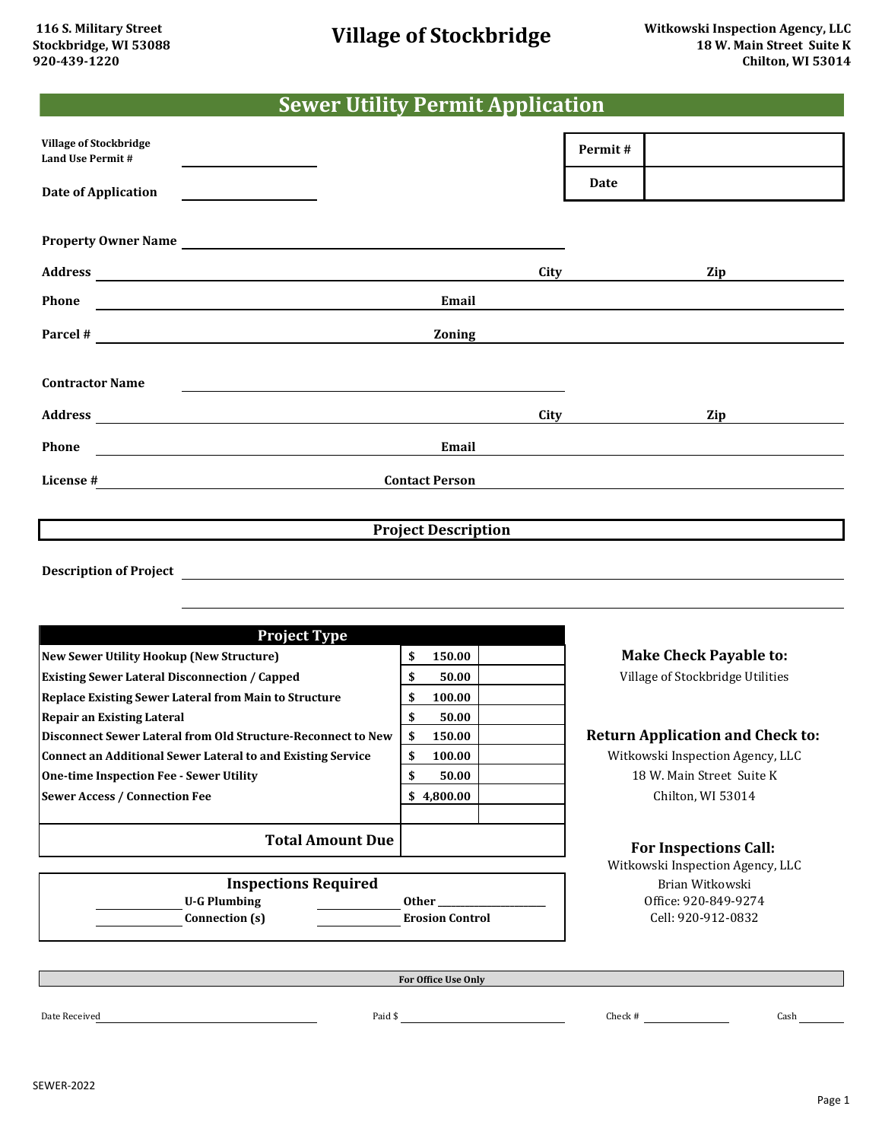## **Sewer Utility Permit Application**

| <b>Village of Stockbridge</b><br><b>Land Use Permit #</b>                                                                                                                                                                         | the control of the control of the control of the control of the control of |                            |      | Permit# |     |  |
|-----------------------------------------------------------------------------------------------------------------------------------------------------------------------------------------------------------------------------------|----------------------------------------------------------------------------|----------------------------|------|---------|-----|--|
| <b>Date of Application</b>                                                                                                                                                                                                        | the control of the control of the control of                               |                            |      | Date    |     |  |
|                                                                                                                                                                                                                                   |                                                                            |                            |      |         |     |  |
| Property Owner Name                                                                                                                                                                                                               |                                                                            |                            |      |         |     |  |
| Address and the contract of the contract of the contract of the contract of the contract of the contract of the contract of the contract of the contract of the contract of the contract of the contract of the contract of th    |                                                                            |                            | City |         | Zip |  |
| Phone<br><u> 1989 - Johann Stone, marking fan de Amerikaansk kommunister (</u>                                                                                                                                                    |                                                                            | Email                      |      |         |     |  |
| Parcel # $\qquad \qquad$                                                                                                                                                                                                          |                                                                            | Zoning                     |      |         |     |  |
|                                                                                                                                                                                                                                   |                                                                            |                            |      |         |     |  |
| <b>Contractor Name</b>                                                                                                                                                                                                            |                                                                            |                            |      |         |     |  |
|                                                                                                                                                                                                                                   |                                                                            |                            | City |         | Zip |  |
| Phone<br><u> 1980 - John Stein, Amerikaansk politiker (</u>                                                                                                                                                                       |                                                                            | Email                      |      |         |     |  |
| License $\frac{4}{1}$ . The contract of the contract of the contract of the contract of the contract of the contract of the contract of the contract of the contract of the contract of the contract of the contract of the contr |                                                                            | <b>Contact Person</b>      |      |         |     |  |
|                                                                                                                                                                                                                                   |                                                                            |                            |      |         |     |  |
|                                                                                                                                                                                                                                   |                                                                            | <b>Project Description</b> |      |         |     |  |
|                                                                                                                                                                                                                                   |                                                                            |                            |      |         |     |  |

**Description of Project**

| <b>Project Type</b>                                          |              |               |
|--------------------------------------------------------------|--------------|---------------|
| <b>New Sewer Utility Hookup (New Structure)</b>              | 150.00<br>\$ | $M\epsilon$   |
| <b>Existing Sewer Lateral Disconnection / Capped</b>         | 50.00<br>\$  | Vill          |
| <b>Replace Existing Sewer Lateral from Main to Structure</b> | 100.00<br>\$ |               |
| <b>Repair an Existing Lateral</b>                            | 50.00<br>\$  |               |
| Disconnect Sewer Lateral from Old Structure-Reconnect to New | \$<br>150.00 | <b>Return</b> |
| Connect an Additional Sewer Lateral to and Existing Service  | \$<br>100.00 | Witko         |
| <b>One-time Inspection Fee - Sewer Utility</b>               | \$<br>50.00  | 1             |
| <b>Sewer Access / Connection Fee</b>                         | \$4,800.00   |               |
|                                                              |              |               |
| <b>Total Amount Due</b>                                      |              | F             |
|                                                              |              | $M_{i+1,c}$   |

age of Stockbridge Utilities **Make Check Payable to:**

## **Application and Check to:**

wski Inspection Agency, LLC 18 W. Main Street Suite K Chilton, WI 53014

## **For Inspections Call:**

Witkowski Inspection Agency, LLC Cell: 920-912-0832 Brian Witkowski Office: 920-849-9274

**U-G Plumbing Connection (s) Expediment Expansion Control Inspections Required Other \_\_\_\_\_\_\_\_\_\_\_\_\_\_\_\_\_\_\_\_\_\_\_\_**

**For Office Use Only**

Date Received Cash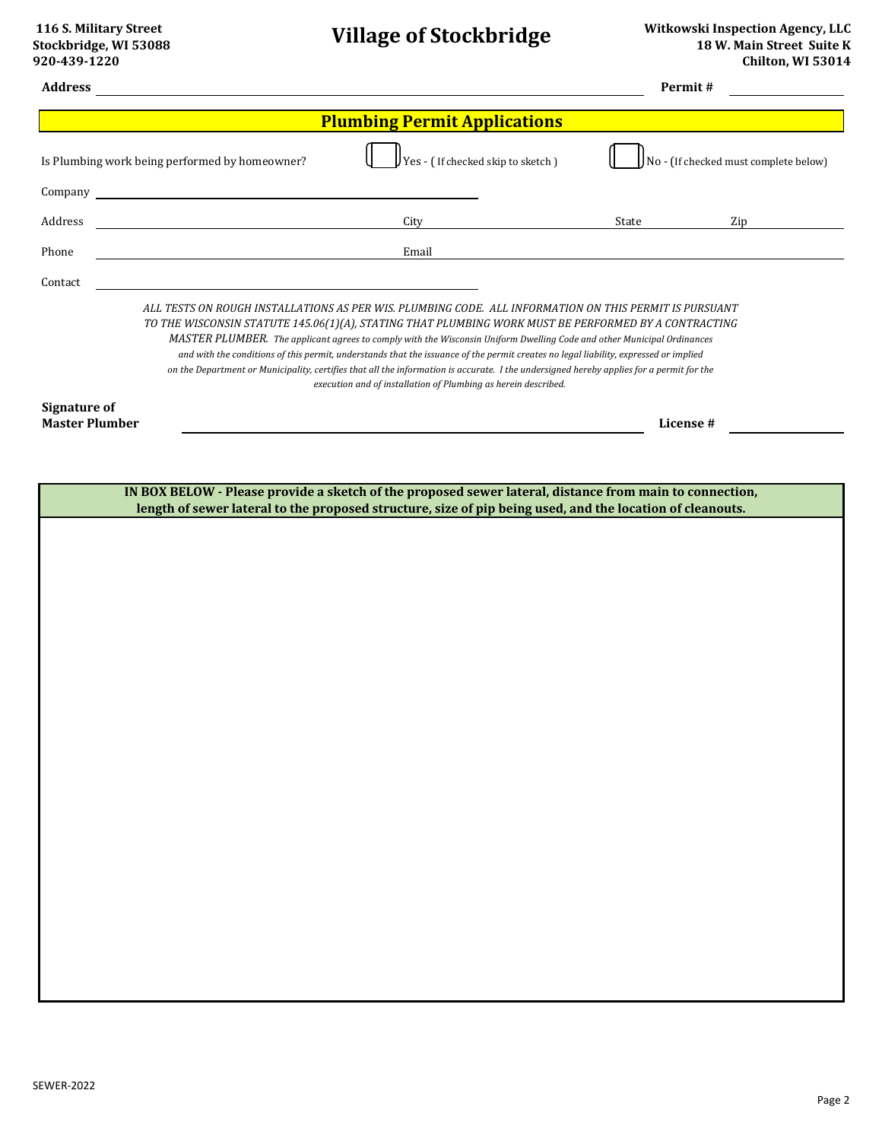| <b>Address</b>                               |                                                                                                                      |                                                                                                                                                                                                                                                                                                                                                                                                                                                                                                                                                                                                                                                                                                |       | Permit#<br><u> 1989 - John Barnett, f</u> |  |
|----------------------------------------------|----------------------------------------------------------------------------------------------------------------------|------------------------------------------------------------------------------------------------------------------------------------------------------------------------------------------------------------------------------------------------------------------------------------------------------------------------------------------------------------------------------------------------------------------------------------------------------------------------------------------------------------------------------------------------------------------------------------------------------------------------------------------------------------------------------------------------|-------|-------------------------------------------|--|
| <b>Plumbing Permit Applications</b>          |                                                                                                                      |                                                                                                                                                                                                                                                                                                                                                                                                                                                                                                                                                                                                                                                                                                |       |                                           |  |
|                                              | Is Plumbing work being performed by homeowner?                                                                       | $JYes$ - (If checked skip to sketch)                                                                                                                                                                                                                                                                                                                                                                                                                                                                                                                                                                                                                                                           |       | No - (If checked must complete below)     |  |
| Company                                      |                                                                                                                      |                                                                                                                                                                                                                                                                                                                                                                                                                                                                                                                                                                                                                                                                                                |       |                                           |  |
| Address                                      | <u> 1980 - Johann Barn, mars ann an t-Amhain Aonaich an t-Aonaich an t-Aonaich ann an t-Aonaich ann an t-Aonaich</u> | City                                                                                                                                                                                                                                                                                                                                                                                                                                                                                                                                                                                                                                                                                           | State | Zip                                       |  |
| Phone                                        |                                                                                                                      | Email                                                                                                                                                                                                                                                                                                                                                                                                                                                                                                                                                                                                                                                                                          |       |                                           |  |
| Contact                                      |                                                                                                                      |                                                                                                                                                                                                                                                                                                                                                                                                                                                                                                                                                                                                                                                                                                |       |                                           |  |
|                                              |                                                                                                                      | ALL TESTS ON ROUGH INSTALLATIONS AS PER WIS. PLUMBING CODE. ALL INFORMATION ON THIS PERMIT IS PURSUANT<br>TO THE WISCONSIN STATUTE 145.06(1)(A), STATING THAT PLUMBING WORK MUST BE PERFORMED BY A CONTRACTING<br>MASTER PLUMBER. The applicant agrees to comply with the Wisconsin Uniform Dwelling Code and other Municipal Ordinances<br>and with the conditions of this permit, understands that the issuance of the permit creates no legal liability, expressed or implied<br>on the Department or Municipality, certifies that all the information is accurate. I the undersigned hereby applies for a permit for the<br>execution and of installation of Plumbing as herein described. |       |                                           |  |
| <b>Signature of</b><br><b>Master Plumber</b> |                                                                                                                      |                                                                                                                                                                                                                                                                                                                                                                                                                                                                                                                                                                                                                                                                                                |       | License #                                 |  |
|                                              |                                                                                                                      |                                                                                                                                                                                                                                                                                                                                                                                                                                                                                                                                                                                                                                                                                                |       |                                           |  |
|                                              |                                                                                                                      | IN BOX BELOW - Please provide a sketch of the proposed sewer lateral, distance from main to connection,                                                                                                                                                                                                                                                                                                                                                                                                                                                                                                                                                                                        |       |                                           |  |
|                                              |                                                                                                                      | length of sewer lateral to the proposed structure, size of pip being used, and the location of cleanouts.                                                                                                                                                                                                                                                                                                                                                                                                                                                                                                                                                                                      |       |                                           |  |
|                                              |                                                                                                                      |                                                                                                                                                                                                                                                                                                                                                                                                                                                                                                                                                                                                                                                                                                |       |                                           |  |
|                                              |                                                                                                                      |                                                                                                                                                                                                                                                                                                                                                                                                                                                                                                                                                                                                                                                                                                |       |                                           |  |